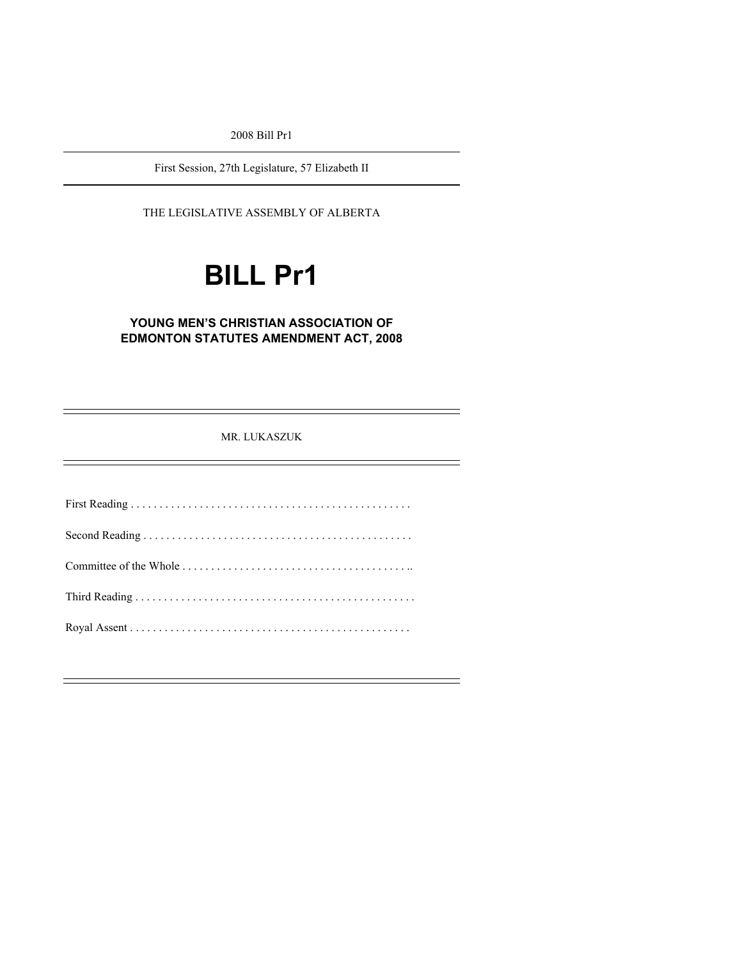2008 Bill Pr1

First Session, 27th Legislature, 57 Elizabeth II

THE LEGISLATIVE ASSEMBLY OF ALBERTA

# **BILL Pr1**

### **YOUNG MEN'S CHRISTIAN ASSOCIATION OF EDMONTON STATUTES AMENDMENT ACT, 2008**

MR. LUKASZUK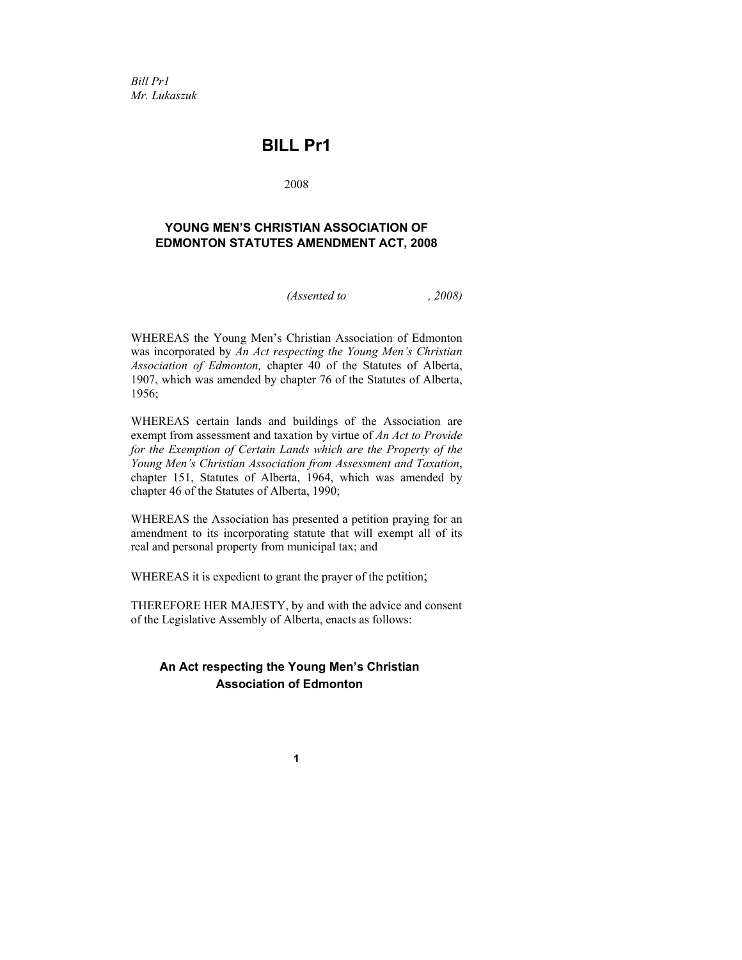*Bill Pr1 Mr. Lukaszuk* 

## **BILL Pr1**

2008

#### **YOUNG MEN'S CHRISTIAN ASSOCIATION OF EDMONTON STATUTES AMENDMENT ACT, 2008**

*(Assented to , 2008)* 

WHEREAS the Young Men's Christian Association of Edmonton was incorporated by *An Act respecting the Young Men's Christian Association of Edmonton,* chapter 40 of the Statutes of Alberta, 1907, which was amended by chapter 76 of the Statutes of Alberta, 1956;

WHEREAS certain lands and buildings of the Association are exempt from assessment and taxation by virtue of *An Act to Provide for the Exemption of Certain Lands which are the Property of the Young Men's Christian Association from Assessment and Taxation*, chapter 151, Statutes of Alberta, 1964, which was amended by chapter 46 of the Statutes of Alberta, 1990;

WHEREAS the Association has presented a petition praying for an amendment to its incorporating statute that will exempt all of its real and personal property from municipal tax; and

WHEREAS it is expedient to grant the prayer of the petition;

THEREFORE HER MAJESTY, by and with the advice and consent of the Legislative Assembly of Alberta, enacts as follows:

## **An Act respecting the Young Men's Christian Association of Edmonton**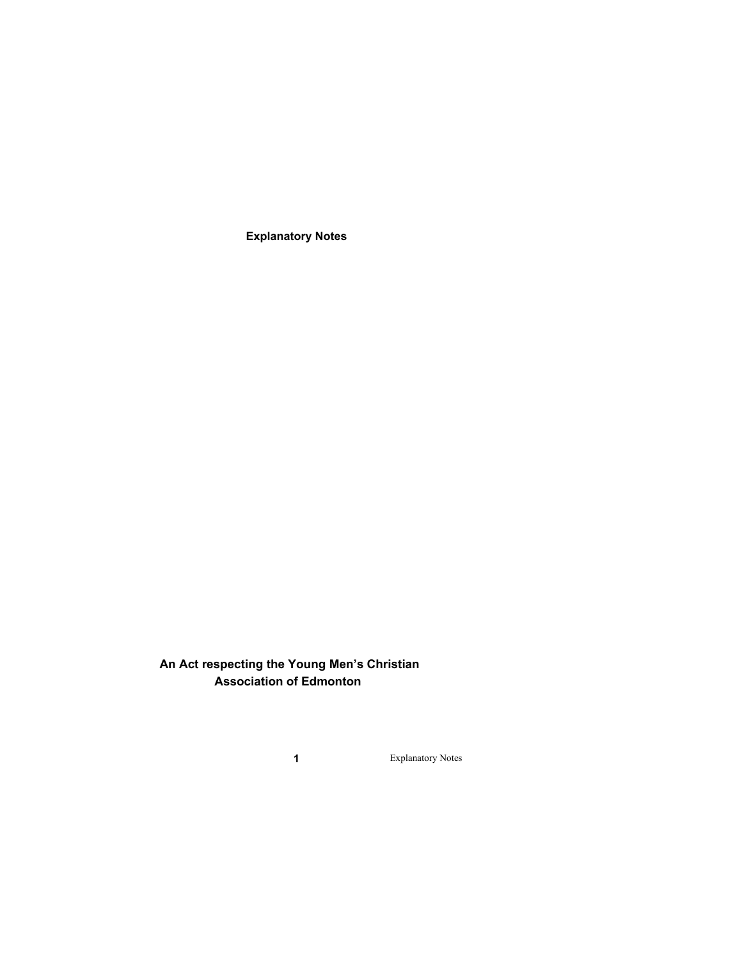**Explanatory Notes** 

**An Act respecting the Young Men's Christian Association of Edmonton**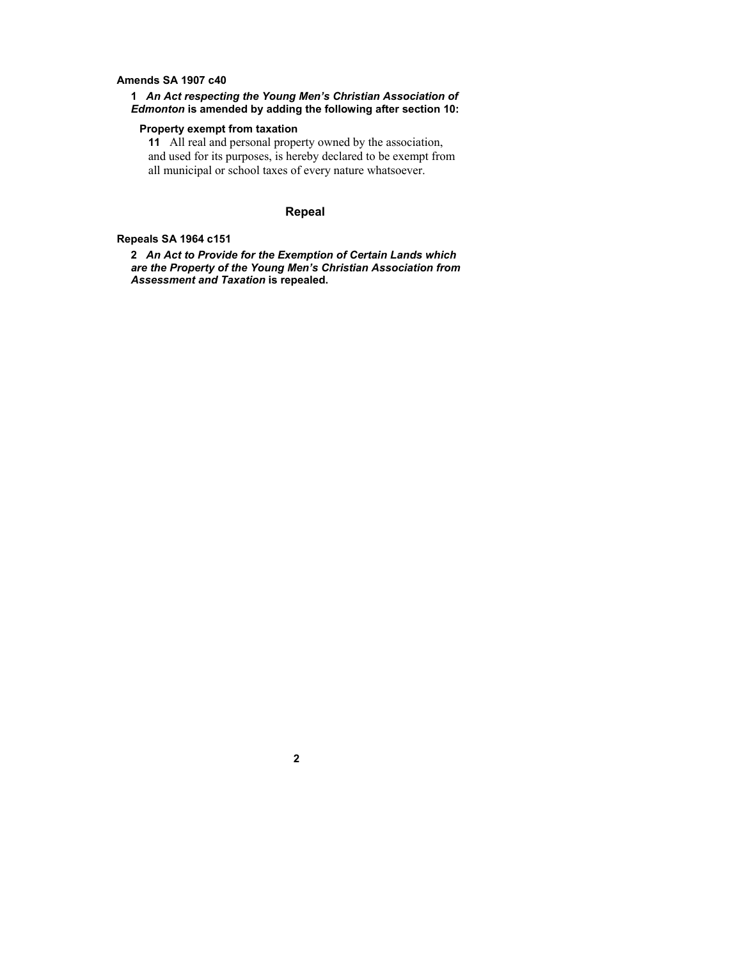#### **Amends SA 1907 c40**

#### **1** *An Act respecting the Young Men's Christian Association of Edmonton* **is amended by adding the following after section 10:**

#### **Property exempt from taxation**

**11** All real and personal property owned by the association, and used for its purposes, is hereby declared to be exempt from all municipal or school taxes of every nature whatsoever.

#### **Repeal**

#### **Repeals SA 1964 c151**

**2** *An Act to Provide for the Exemption of Certain Lands which are the Property of the Young Men's Christian Association from Assessment and Taxation* **is repealed.**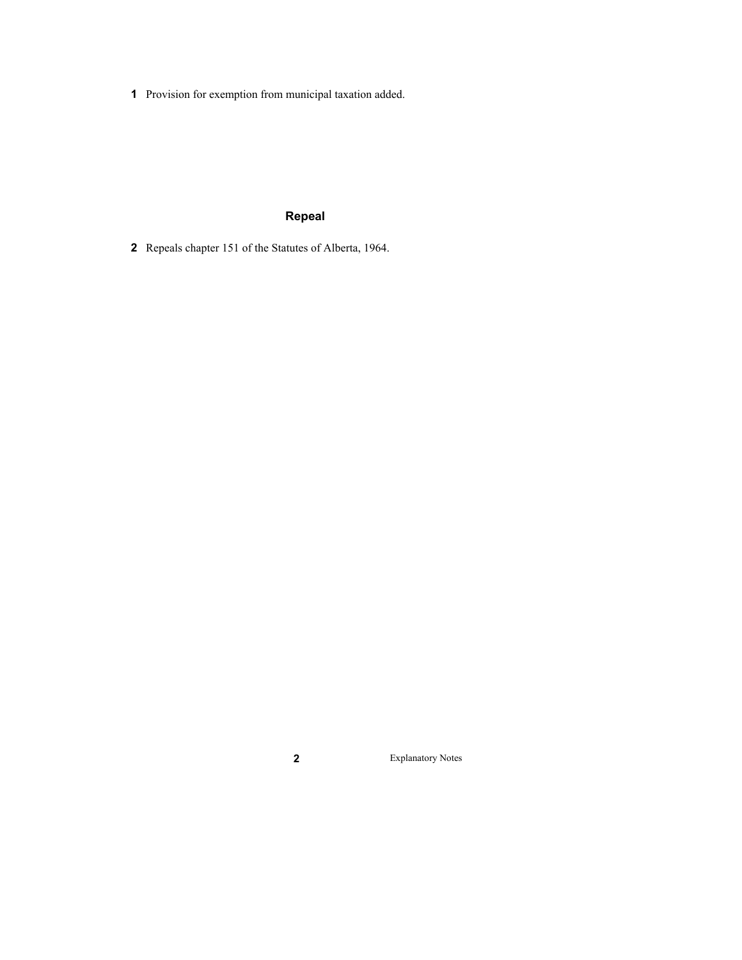Provision for exemption from municipal taxation added.

## **Repeal**

Repeals chapter 151 of the Statutes of Alberta, 1964.